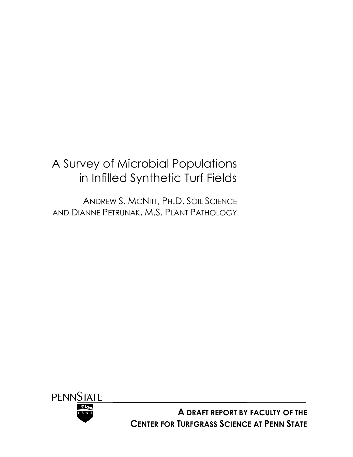# A Survey of Microbial Populations in Infilled Synthetic Turf Fields

ANDREW S. MCNITT, PH.D. SOIL SCIENCE AND DIANNE PETRUNAK, M.S. PLANT PATHOLOGY



**A DRAFT REPORT BY FACULTY OF THE CENTER FOR TURFGRASS SCIENCE AT PENN STATE**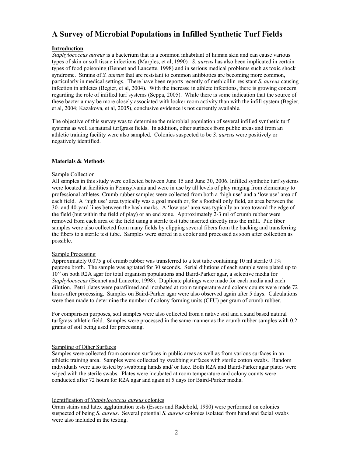# **A Survey of Microbial Populations in Infilled Synthetic Turf Fields**

# **Introduction**

*Staphylococcus aureus* is a bacterium that is a common inhabitant of human skin and can cause various types of skin or soft tissue infections (Marples, et al, 1990)*. S. aureus* has also been implicated in certain types of food poisoning (Bennet and Lancette, 1998) and in serious medical problems such as toxic shock syndrome. Strains of *S. aureus* that are resistant to common antibiotics are becoming more common, particularly in medical settings. There have been reports recently of methicillin-resistant *S. aureus* causing infection in athletes (Begier, et al, 2004). With the increase in athlete infections, there is growing concern regarding the role of infilled turf systems (Seppa, 2005). While there is some indication that the source of these bacteria may be more closely associated with locker room activity than with the infill system (Begier, et al, 2004; Kazakova, et al, 2005), conclusive evidence is not currently available.

The objective of this survey was to determine the microbial population of several infilled synthetic turf systems as well as natural turfgrass fields. In addition, other surfaces from public areas and from an athletic training facility were also sampled. Colonies suspected to be *S. aureus* were positively or negatively identified.

### **Materials & Methods**

### Sample Collection

All samples in this study were collected between June 15 and June 30, 2006. Infilled synthetic turf systems were located at facilities in Pennsylvania and were in use by all levels of play ranging from elementary to professional athletes. Crumb rubber samples were collected from both a 'high use' and a 'low use' area of each field. A 'high use' area typically was a goal mouth or, for a football only field, an area between the 30- and 40-yard lines between the hash marks. A 'low use' area was typically an area toward the edge of the field (but within the field of play) or an end zone. Approximately 2-3 ml of crumb rubber were removed from each area of the field using a sterile test tube inserted directly into the infill. Pile fiber samples were also collected from many fields by clipping several fibers from the backing and transferring the fibers to a sterile test tube. Samples were stored in a cooler and processed as soon after collection as possible.

### Sample Processing

Approximately 0.075 g of crumb rubber was transferred to a test tube containing 10 ml sterile 0.1% peptone broth. The sample was agitated for 30 seconds. Serial dilutions of each sample were plated up to  $10<sup>3</sup>$  on both R2A agar for total organism populations and Baird-Parker agar, a selective media for *Staphylococcus* (Bennet and Lancette, 1998). Duplicate platings were made for each media and each dilution. Petri plates were parafilmed and incubated at room temperature and colony counts were made 72 hours after processing. Samples on Baird-Parker agar were also observed again after 5 days. Calculations were then made to determine the number of colony forming units (CFU) per gram of crumb rubber.

For comparison purposes, soil samples were also collected from a native soil and a sand based natural turfgrass athletic field. Samples were processed in the same manner as the crumb rubber samples with 0.2 grams of soil being used for processing.

### Sampling of Other Surfaces

Samples were collected from common surfaces in public areas as well as from various surfaces in an athletic training area. Samples were collected by swabbing surfaces with sterile cotton swabs. Random individuals were also tested by swabbing hands and/ or face. Both R2A and Baird-Parker agar plates were wiped with the sterile swabs. Plates were incubated at room temperature and colony counts were conducted after 72 hours for R2A agar and again at 5 days for Baird-Parker media.

### Identification of *Staphylococcus aureus* colonies

Gram stains and latex agglutination tests (Essers and Radebold, 1980) were performed on colonies suspected of being *S. aureus*. Several potential *S. aureus* colonies isolated from hand and facial swabs were also included in the testing.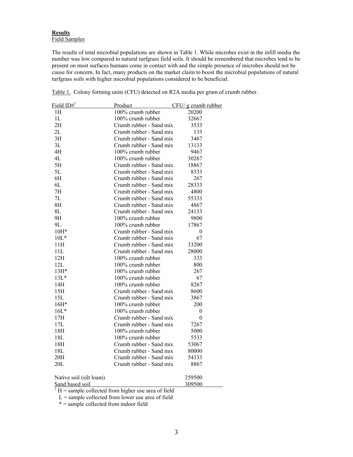# **Results** Field Samples

The results of total microbial populations are shown in Table 1. While microbes exist in the infill media the number was low compared to natural turfgrass field soils. It should be remembered that microbes tend to be present on most surfaces humans come in contact with and the simple presence of microbes should not be cause for concern. In fact, many products on the market claim to boost the microbial populations of natural turfgrass soils with higher microbial populations considered to be beneficial.

| Field $ID#^1$           | Product                 | CFU/ g crumb rubber |
|-------------------------|-------------------------|---------------------|
| 1H                      | 100% crumb rubber       | 20200               |
| 1L                      | 100% crumb rubber       | 32667               |
| 2H                      | Crumb rubber - Sand mix | 3533                |
| 2L                      | Crumb rubber - Sand mix | 133                 |
| 3H                      | Crumb rubber - Sand mix | 3467                |
| 3L                      | Crumb rubber - Sand mix | 13133               |
| 4H                      | 100% crumb rubber       | 9467                |
| 4L                      | 100% crumb rubber       | 30267               |
| 5H                      | Crumb rubber - Sand mix | 18867               |
| 5L                      | Crumb rubber - Sand mix | 8333                |
| 6H                      | Crumb rubber - Sand mix | 267                 |
| 6L                      | Crumb rubber - Sand mix | 28333               |
| 7H                      | Crumb rubber - Sand mix | 4800                |
| 7L                      | Crumb rubber - Sand mix | 55333               |
| 8H                      | Crumb rubber - Sand mix | 4867                |
| 8L                      | Crumb rubber - Sand mix | 24133               |
| 9H                      | 100% crumb rubber       | 9800                |
| 9L                      | 100% crumb rubber       | 17867               |
| 10H*                    | Crumb rubber - Sand mix | $\boldsymbol{0}$    |
| $10L*$                  | Crumb rubber - Sand mix | 67                  |
| 11H                     | Crumb rubber - Sand mix | 33200               |
| 11L                     | Crumb rubber - Sand mix | 28000               |
| 12H                     | 100% crumb rubber       | 333                 |
| 12L                     | 100% crumb rubber       | 800                 |
| 13H*                    | 100% crumb rubber       | 267                 |
| $13L*$                  | 100% crumb rubber       | 67                  |
| 14H                     | 100% crumb rubber       | 8267                |
| 15H                     | Crumb rubber - Sand mix | 8600                |
| 15L                     | Crumb rubber - Sand mix | 3867                |
| 16H*                    | $100\%$ crumb rubber    | 200                 |
| $16L*$                  | 100% crumb rubber       | 0                   |
| 17H                     | Crumb rubber - Sand mix | 0                   |
| 17L                     | Crumb rubber - Sand mix | 7267                |
| 18H                     | 100% crumb rubber       | 5000                |
| 18L                     | $100\%$ crumb rubber    | 5533                |
| 18H                     | Crumb rubber - Sand mix | 53067               |
| 18L                     | Crumb rubber - Sand mix | 80000               |
| 20H                     | Crumb rubber - Sand mix | 54333               |
| 20L                     | Crumb rubber - Sand mix | 8867                |
| Native soil (silt loam) |                         | 259500              |

Table 1. Colony forming units (CFU) detected on R2A media per gram of crumb rubber.

Sand based soil 309500<br>  $1 H =$  sample collected from higher use area of field

 $L =$ sample collected from lower use area of field

\* = sample collected from indoor field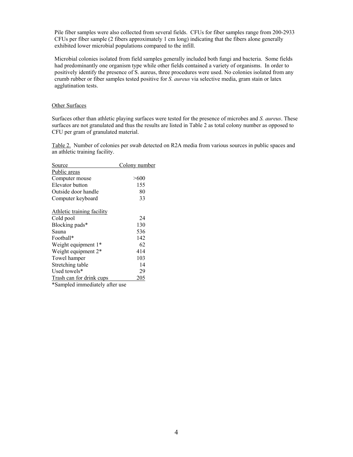Pile fiber samples were also collected from several fields. CFUs for fiber samples range from 200-2933 CFUs per fiber sample (2 fibers approximately 1 cm long) indicating that the fibers alone generally exhibited lower microbial populations compared to the infill.

Microbial colonies isolated from field samples generally included both fungi and bacteria. Some fields had predominantly one organism type while other fields contained a variety of organisms. In order to positively identify the presence of S. aureus, three procedures were used. No colonies isolated from any crumb rubber or fiber samples tested positive for *S. aureus* via selective media, gram stain or latex agglutination tests.

#### Other Surfaces

Surfaces other than athletic playing surfaces were tested for the presence of microbes and *S. aureus*. These surfaces are not granulated and thus the results are listed in Table 2 as total colony number as opposed to CFU per gram of granulated material.

Table 2. Number of colonies per swab detected on R2A media from various sources in public spaces and an athletic training facility.

| Source                          | Colony number |
|---------------------------------|---------------|
| Public areas                    |               |
| Computer mouse                  | $> \! 600$    |
| Elevator button                 | 155           |
| Outside door handle             | 80            |
| Computer keyboard               | 33            |
| Athletic training facility      |               |
| Cold pool                       | 24            |
| Blocking pads*                  | 130           |
| Sauna                           | 536           |
| Football*                       | 142           |
| Weight equipment 1*             | 62            |
| Weight equipment 2 <sup>*</sup> | 414           |
| Towel hamper                    | 103           |
| Stretching table                | 14            |
| Used towels*                    | 29            |
| Trash can for drink cups        | 205           |
| *Sampled immediately after use  |               |

4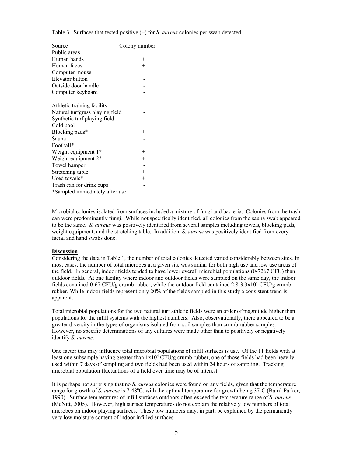|  | Table 3. Surfaces that tested positive $(+)$ for S. <i>aureus</i> colonies per swab detected. |  |  |  |  |
|--|-----------------------------------------------------------------------------------------------|--|--|--|--|
|--|-----------------------------------------------------------------------------------------------|--|--|--|--|

| <u>Source</u>                   | Colony number      |
|---------------------------------|--------------------|
| Public areas                    |                    |
| Human hands                     | $\hspace{0.1mm} +$ |
| Human faces                     | $^+$               |
| Computer mouse                  |                    |
| Elevator button                 |                    |
| Outside door handle             |                    |
| Computer keyboard               |                    |
|                                 |                    |
| Athletic training facility      |                    |
| Natural turfgrass playing field |                    |
| Synthetic turf playing field    |                    |
| Cold pool                       |                    |
| Blocking pads*                  | $^+$               |
| Sauna                           |                    |
| Football*                       |                    |
| Weight equipment 1*             | $^{+}$             |
| Weight equipment 2 <sup>*</sup> | $^{+}$             |
| Towel hamper                    |                    |
| Stretching table                | $^{+}$             |
| Used towels*                    | $^+$               |
| Trash can for drink cups        |                    |

\*Sampled immediately after use

Microbial colonies isolated from surfaces included a mixture of fungi and bacteria. Colonies from the trash can were predominantly fungi. While not specifically identified, all colonies from the sauna swab appeared to be the same. *S. aureus* was positively identified from several samples including towels, blocking pads, weight equipment, and the stretching table. In addition, *S. aureus* was positively identified from every facial and hand swabs done.

#### **Discussion**

Considering the data in Table 1, the number of total colonies detected varied considerably between sites. In most cases, the number of total microbes at a given site was similar for both high use and low use areas of the field. In general, indoor fields tended to have lower overall microbial populations (0-7267 CFU) than outdoor fields. At one facility where indoor and outdoor fields were sampled on the same day, the indoor fields contained 0-67 CFU/g crumb rubber, while the outdoor field contained  $2.8\text{-}3.3\times10^4$  CFU/g crumb rubber. While indoor fields represent only 20% of the fields sampled in this study a consistent trend is apparent.

Total microbial populations for the two natural turf athletic fields were an order of magnitude higher than populations for the infill systems with the highest numbers. Also, observationally, there appeared to be a greater diversity in the types of organisms isolated from soil samples than crumb rubber samples. However, no specific determinations of any cultures were made other than to positively or negatively identify *S. aureus*.

One factor that may influence total microbial populations of infill surfaces is use. Of the 11 fields with at least one subsample having greater than  $1x10^4$  CFU/g crumb rubber, one of those fields had been heavily used within 7 days of sampling and two fields had been used within 24 hours of sampling. Tracking microbial population fluctuations of a field over time may be of interest.

It is perhaps not surprising that no *S. aureus* colonies were found on any fields, given that the temperature range for growth of *S. aureus* is 7-48°C, with the optimal temperature for growth being 37°C (Baird-Parker, 1990). Surface temperatures of infill surfaces outdoors often exceed the temperature range of *S. aureus* (McNitt, 2005). However, high surface temperatures do not explain the relatively low numbers of total microbes on indoor playing surfaces. These low numbers may, in part, be explained by the permanently very low moisture content of indoor infilled surfaces.